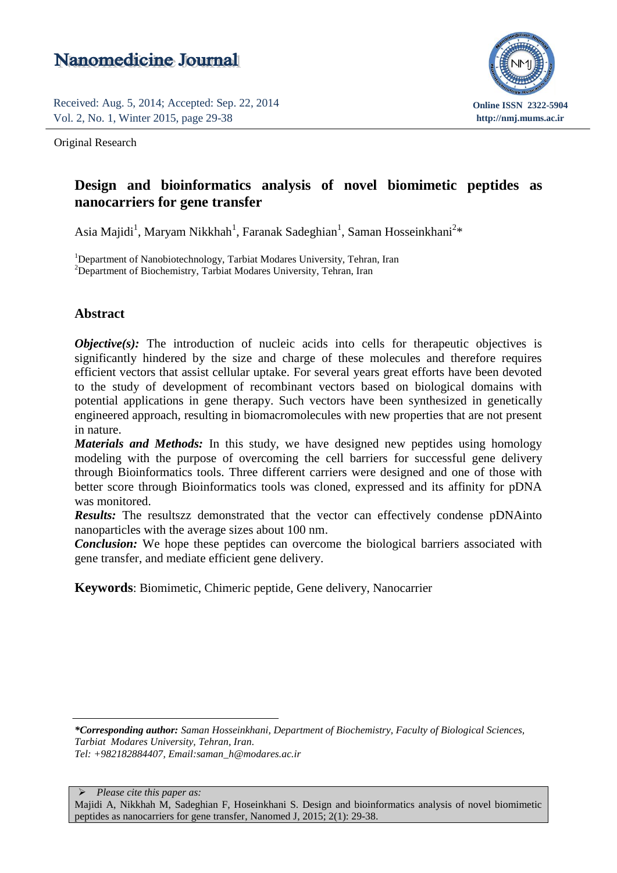# Nanomedicine Journal

Received: Aug. 5, 2014; Accepted: Sep. 22, 2014 Vol. 2, No. 1, Winter 2015, page 29-38

Original Research



## **Design and bioinformatics analysis of novel biomimetic peptides as** Vol. 1, No. 5, Autumn 2014, page 298-301 **nanocarriers for gene transfer**

Asia Majidi<sup>1</sup>, Maryam Nikkhah<sup>1</sup>, Faranak Sadeghian<sup>1</sup>, Saman Hosseinkhani<sup>2</sup>\*

<sup>1</sup>Department of Nanobiotechnology, Tarbiat Modares University, Tehran, Iran <sup>2</sup>Department of Biochemistry, Tarbiat Modares University, Tehran, Iran

### **Abstract**

*Objective(s):* The introduction of nucleic acids into cells for the apeutic objectives is significantly hindered by the size and charge of these molecules and therefore requires efficient vectors that assist cellular uptake. For several years great efforts have been devoted to the study of development of recombinant vectors based on biological domains with potential applications in gene therapy. Such vectors have been synthesized in genetically engineered approach, resulting in biomacromolecules with new properties that are not present in nature.

*Materials and Methods:* In this study, we have designed new peptides using homology modeling with the purpose of overcoming the cell barriers for successful gene delivery through Bioinformatics tools. Three different carriers were designed and one of those with better score through Bioinformatics tools was cloned, expressed and its affinity for pDNA was monitored.

*Results:* The resultszz demonstrated that the vector can effectively condense pDNAinto nanoparticles with the average sizes about 100 nm.

*Conclusion:* We hope these peptides can overcome the biological barriers associated with gene transfer, and mediate efficient gene delivery.

**Keywords**: Biomimetic, Chimeric peptide, Gene delivery, Nanocarrier

*\*Corresponding author: Saman Hosseinkhani, Department of Biochemistry, Faculty of Biological Sciences, Tarbiat Modares University, Tehran, Iran. Tel: +982182884407, Email:saman\_h@modares.ac.ir*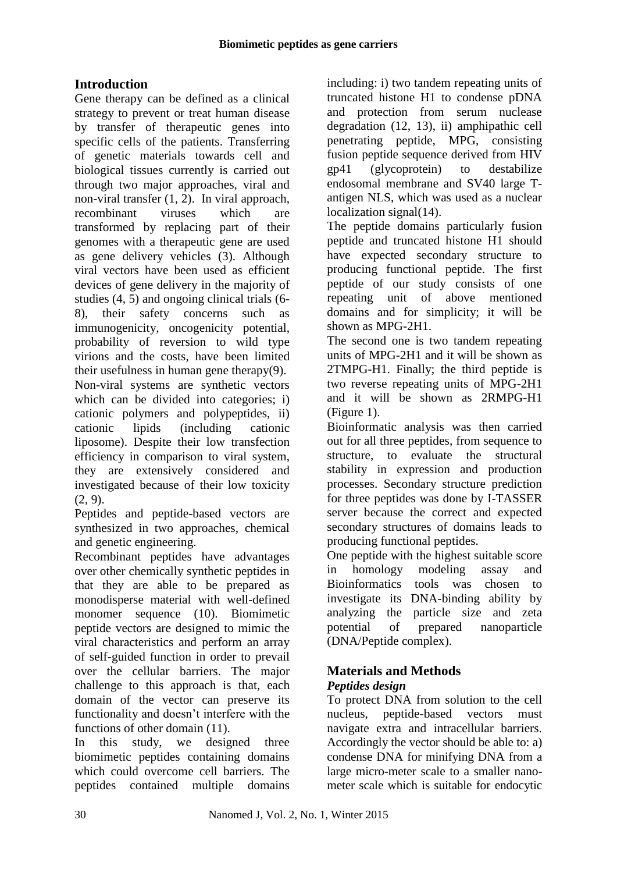## **Introduction**

Gene therapy can be defined as a clinical strategy to prevent or treat human disease by transfer of therapeutic genes into specific cells of the patients. Transferring of genetic materials towards cell and biological tissues currently is carried out through two major approaches, viral and non-viral transfer (1, 2). In viral approach, recombinant viruses which are transformed by replacing part of their genomes with a therapeutic gene are used as gene delivery vehicles (3). Although viral vectors have been used as efficient devices of gene delivery in the majority of studies (4, 5) and ongoing clinical trials (6- 8), their safety concerns such as immunogenicity, oncogenicity potential, probability of reversion to wild type virions and the costs, have been limited their usefulness in human gene therapy(9). Non-viral systems are synthetic vectors which can be divided into categories; i) cationic polymers and polypeptides, ii) cationic lipids (including cationic liposome). Despite their low transfection efficiency in comparison to viral system, they are extensively considered and investigated because of their low toxicity (2, 9).

Peptides and peptide-based vectors are synthesized in two approaches, chemical and genetic engineering.

Recombinant peptides have advantages over other chemically synthetic peptides in that they are able to be prepared as monodisperse material with well-defined monomer sequence (10). Biomimetic peptide vectors are designed to mimic the viral characteristics and perform an array of self-guided function in order to prevail over the cellular barriers. The major challenge to this approach is that, each domain of the vector can preserve its functionality and doesn't interfere with the functions of other domain (11).

In this study, we designed three biomimetic peptides containing domains which could overcome cell barriers. The peptides contained multiple domains

including: i) two tandem repeating units of truncated histone H1 to condense pDNA and protection from serum nuclease degradation (12, 13), ii) amphipathic cell penetrating peptide, MPG, consisting fusion peptide sequence derived from HIV gp41 (glycoprotein) to destabilize endosomal membrane and SV40 large Tantigen NLS, which was used as a nuclear localization signal(14).

The peptide domains particularly fusion peptide and truncated histone H1 should have expected secondary structure to producing functional peptide. The first peptide of our study consists of one repeating unit of above mentioned domains and for simplicity; it will be shown as MPG-2H1.

The second one is two tandem repeating units of MPG-2H1 and it will be shown as 2TMPG-H1. Finally; the third peptide is two reverse repeating units of MPG-2H1 and it will be shown as 2RMPG-H1 (Figure 1).

Bioinformatic analysis was then carried out for all three peptides, from sequence to structure, to evaluate the structural stability in expression and production processes. Secondary structure prediction for three peptides was done by I-TASSER server because the correct and expected secondary structures of domains leads to producing functional peptides.

One peptide with the highest suitable score in homology modeling assay and Bioinformatics tools was chosen to investigate its DNA-binding ability by analyzing the particle size and zeta potential of prepared nanoparticle (DNA/Peptide complex).

## **Materials and Methods**

### *Peptides design*

To protect DNA from solution to the cell nucleus, peptide-based vectors must navigate extra and intracellular barriers. Accordingly the vector should be able to: a) condense DNA for minifying DNA from a large micro-meter scale to a smaller nanometer scale which is suitable for endocytic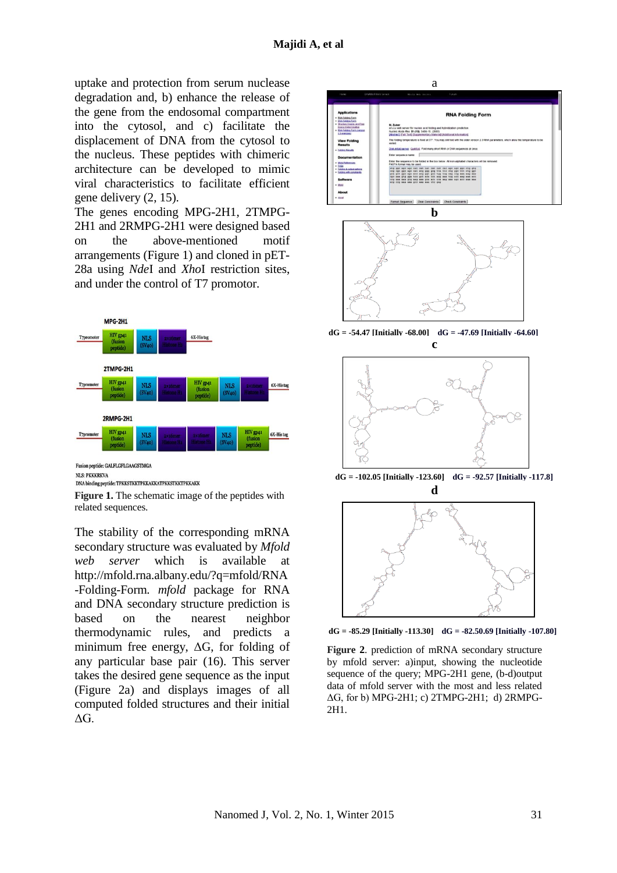uptake and protection from serum nuclease degradation and, b) enhance the release of the gene from the endosomal compartment into the cytosol, and c) facilitate the displacement of DNA from the cytosol to the nucleus. These peptides with chimeric architecture can be developed to mimic viral characteristics to facilitate efficient gene delivery (2, 15).

The genes encoding MPG-2H1, 2TMPG-2H1 and 2RMPG-2H1 were designed based on the above-mentioned motif arrangements (Figure 1) and cloned in pET-28a using *Nde*I and *Xho*I restriction sites, and under the control of T7 promotor.



NLS: PKKKRKVA

**DNA binding peptide: TPKKSTKKTPKKAKKATPKKSTKKTPKKAKK** 

**Figure 1.** The schematic image of the peptides with related sequences.

The stability of the corresponding mRNA secondary structure was evaluated by *Mfold web server* which is available at [http://mfold.rna.albany.edu/?q=mfold/RNA](http://mfold.rna.albany.edu/?q=mfold/RNA-Folding-Form) [-Folding-Form](http://mfold.rna.albany.edu/?q=mfold/RNA-Folding-Form)*. mfold* package for RNA and DNA secondary structure prediction is based on the nearest neighbor thermodynamic rules, and predicts a minimum free energy,  $\Delta G$ , for folding of any particular base pair (16). This server takes the desired gene sequence as the input (Figure 2a) and displays images of all computed folded structures and their initial  $ΔG<sub>l</sub>$ 





**dG = -54.47 [Initially -68.00] dG = -47.69 [Initially -64.60] c**



**dG = -102.05 [Initially -123.60] dG = -92.57 [Initially -117.8] d**



**dG = -85.29 [Initially -113.30] dG = -82.50.69 [Initially -107.80]**

**Figure 2**. prediction of mRNA secondary structure by mfold server: a)input, showing the nucleotide sequence of the query; MPG-2H1 gene, (b-d)output data of mfold server with the most and less related ΔG, for b) MPG-2H1; c) 2TMPG-2H1; d) 2RMPG-2H1.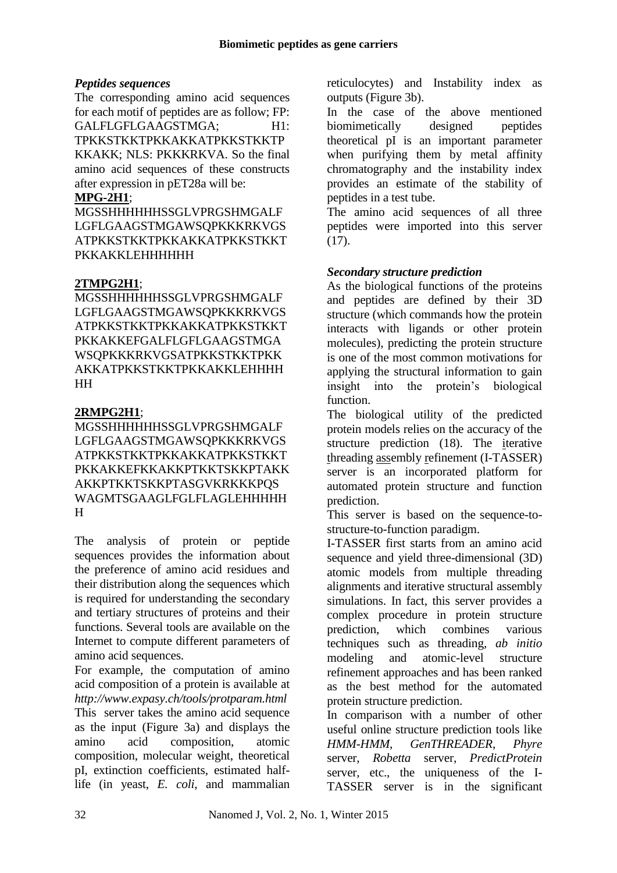#### *Peptides sequences*

The corresponding amino acid sequences for each motif of peptides are as follow; FP: GALFLGFLGAAGSTMGA; H1: TPKKSTKKTPKKAKKATPKKSTKKTP KKAKK; NLS: PKKKRKVA. So the final amino acid sequences of these constructs after expression in pET28a will be:

#### **MPG-2H1**;

MGSSHHHHHHSSGLVPRGSHMGALF LGFLGAAGSTMGAWSQPKKKRKVGS ATPKKSTKKTPKKAKKATPKKSTKKT PKKAKKLEHHHHHH

#### **2TMPG2H1**;

MGSSHHHHHHSSGLVPRGSHMGALF LGFLGAAGSTMGAWSQPKKKRKVGS ATPKKSTKKTPKKAKKATPKKSTKKT PKKAKKEFGALFLGFLGAAGSTMGA WSQPKKKRKVGSATPKKSTKKTPKK AKKATPKKSTKKTPKKAKKLEHHHH HH

#### **2RMPG2H1**;

MGSSHHHHHHSSGLVPRGSHMGALF LGFLGAAGSTMGAWSQPKKKRKVGS ATPKKSTKKTPKKAKKATPKKSTKKT PKKAKKEFKKAKKPTKKTSKKPTAKK AKKPTKKTSKKPTASGVKRKKKPQS WAGMTSGAAGLFGLFLAGLEHHHHH H

The analysis of protein or peptide sequences provides the information about the preference of amino acid residues and their distribution along the sequences which is required for understanding the secondary and tertiary structures of proteins and their functions. Several tools are available on the Internet to compute different parameters of amino acid sequences.

For example, the computation of amino acid composition of a protein is available at *<http://www.expasy.ch/tools/protparam.html>* This server takes the amino acid sequence as the input (Figure 3a) and displays the amino acid composition, atomic composition, molecular weight, theoretical pI, extinction coefficients, estimated halflife (in yeast, *E. coli*, and mammalian reticulocytes) and Instability index as outputs (Figure 3b).

In the case of the above mentioned biomimetically designed peptides theoretical pI is an important parameter when purifying them by metal affinity chromatography and the instability index provides an estimate of the stability of peptides in a test tube.

The amino acid sequences of all three peptides were imported into this server (17).

#### *Secondary structure prediction*

As the biological functions of the proteins and peptides are defined by their 3D structure (which commands how the protein interacts with ligands or other protein molecules), predicting the protein structure is one of the most common motivations for applying the structural information to gain insight into the protein's biological function.

The biological utility of the predicted protein models relies on the accuracy of the structure prediction (18). The iterative threading assembly refinement (I-TASSER) server is an incorporated platform for automated protein structure and function prediction.

This server is based on the sequence-tostructure-to-function paradigm.

I-TASSER first starts from an amino acid sequence and yield three-dimensional (3D) atomic models from multiple threading alignments and iterative structural assembly simulations. In fact, this server provides a complex procedure in protein structure prediction, which combines various techniques such as threading, *ab initio* modeling and atomic-level structure refinement approaches and has been ranked as the best method for the automated protein structure prediction.

In comparison with a number of other useful online structure prediction tools like *HMM-HMM*, *GenTHREADER*, *Phyre*  server, *Robetta* server*, PredictProtein*  server, etc., the uniqueness of the I-TASSER server is in the significant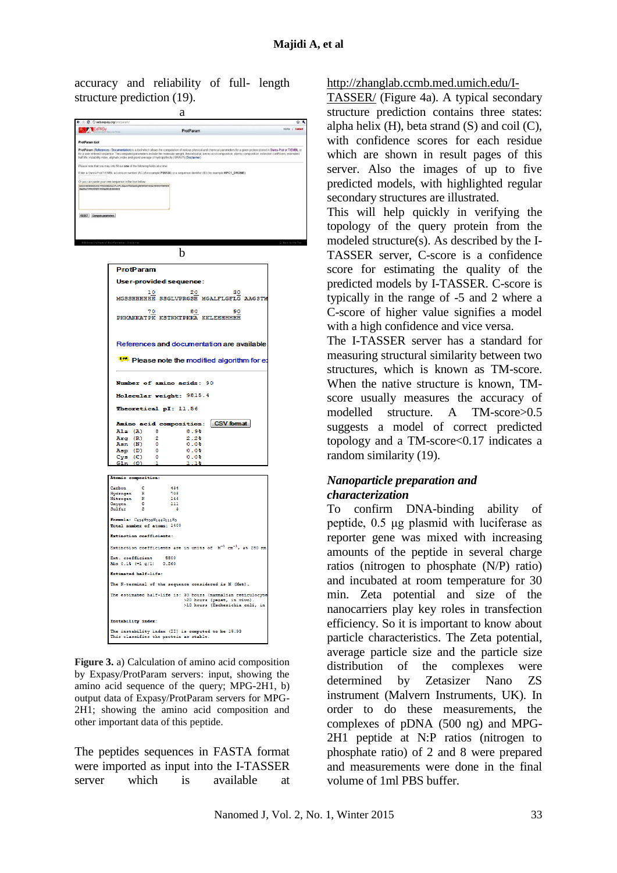accuracy and reliability of full- length structure prediction (19).





**Figure 3.** a) Calculation of amino acid composition by Expasy/ProtParam servers: input, showing the amino acid sequence of the query; MPG-2H1, b) output data of Expasy/ProtParam servers for MPG-2H1; showing the amino acid composition and other important data of this peptide.

The peptides sequences in FASTA format were imported as input into the I-TASSER server which is available at

[http://zhanglab.ccmb.med.umich.edu/I-](http://zhanglab.ccmb.med.umich.edu/I-TASSER/)

[TASSER/](http://zhanglab.ccmb.med.umich.edu/I-TASSER/) (Figure 4a). A typical secondary structure prediction contains three states: alpha helix  $(H)$ , beta strand  $(S)$  and coil  $(C)$ , with confidence scores for each residue which are shown in result pages of this server. Also the images of up to five predicted models, with highlighted regular secondary structures are illustrated.

This will help quickly in verifying the topology of the query protein from the modeled structure(s). As described by the I-TASSER server, C-score is a confidence score for estimating the quality of the predicted models by I-TASSER. C-score is typically in the range of -5 and 2 where a C-score of higher value signifies a model with a high confidence and vice versa.

The I-TASSER server has a standard for measuring structural similarity between two structures, which is known as TM-score. When the native structure is known, TMscore usually measures the accuracy of modelled structure. A TM-score>0.5 suggests a model of correct predicted topology and a TM-score<0.17 indicates a random similarity (19).

#### *Nanoparticle preparation and characterization*

To confirm DNA-binding ability of peptide, 0.5 μg plasmid with luciferase as reporter gene was mixed with increasing amounts of the peptide in several charge ratios (nitrogen to phosphate (N/P) ratio) and incubated at room temperature for 30 min. Zeta potential and size of the nanocarriers play key roles in transfection efficiency. So it is important to know about particle characteristics. The Zeta potential, average particle size and the particle size distribution of the complexes were determined by Zetasizer Nano ZS instrument (Malvern Instruments, UK). In order to do these measurements, the complexes of pDNA (500 ng) and MPG-2H1 peptide at N:P ratios (nitrogen to phosphate ratio) of 2 and 8 were prepared and measurements were done in the final volume of 1ml PBS buffer.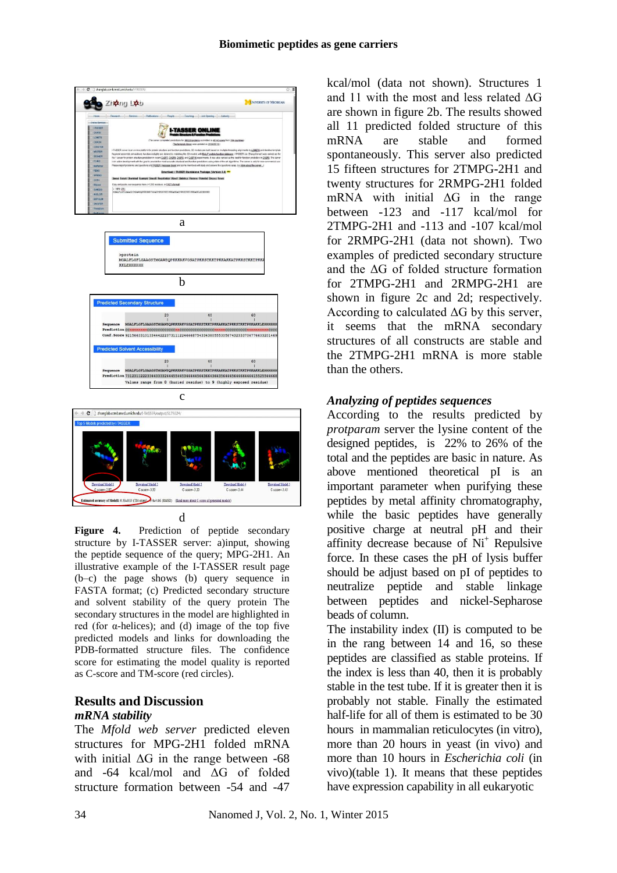



**Figure 4.** Prediction of peptide secondary structure by I-TASSER server: a)input, showing the peptide sequence of the query; MPG-2H1. An illustrative example of the I-TASSER result page (b–c) the page shows (b) query sequence in FASTA format; (c) Predicted secondary structure and solvent stability of the query protein The secondary structures in the model are highlighted in red (for α-helices); and (d) image of the top five predicted models and links for downloading the PDB-formatted structure files. The confidence score for estimating the model quality is reported as C-score and TM-score (red circles).

#### **Results and Discussion**  *mRNA stability*

The *Mfold web server* predicted eleven structures for MPG-2H1 folded mRNA with initial  $\Delta G$  in the range between -68 and -64 kcal/mol and ΔG of folded structure formation between -54 and -47

kcal/mol (data not shown). Structures 1 and 11 with the most and less related ΔG are shown in figure 2b. The results showed all 11 predicted folded structure of this mRNA are stable and formed spontaneously. This server also predicted 15 fifteen structures for 2TMPG-2H1 and twenty structures for 2RMPG-2H1 folded mRNA with initial  $\Delta G$  in the range between -123 and -117 kcal/mol for 2TMPG-2H1 and -113 and -107 kcal/mol for 2RMPG-2H1 (data not shown). Two examples of predicted secondary structure and the ΔG of folded structure formation for 2TMPG-2H1 and 2RMPG-2H1 are shown in figure 2c and 2d; respectively. According to calculated  $\Delta G$  by this server, it seems that the mRNA secondary structures of all constructs are stable and the 2TMPG-2H1 mRNA is more stable than the others.

#### *Analyzing of peptides sequences*

According to the results predicted by *protparam* server the lysine content of the designed peptides, is 22% to 26% of the total and the peptides are basic in nature. As above mentioned theoretical pI is an important parameter when purifying these peptides by metal affinity chromatography, while the basic peptides have generally positive charge at neutral pH and their affinity decrease because of  $Ni<sup>+</sup>$  Repulsive force. In these cases the pH of lysis buffer should be adjust based on pI of peptides to neutralize peptide and stable linkage between peptides and nickel-Sepharose beads of column.

The instability index (II) is computed to be in the rang between 14 and 16, so these peptides are classified as stable proteins. If the index is less than 40, then it is probably stable in the test tube. If it is greater then it is probably not stable. Finally the estimated half-life for all of them is estimated to be 30 hours in mammalian reticulocytes (in vitro), more than 20 hours in yeast (in vivo) and more than 10 hours in *Escherichia coli* (in vivo)(table 1). It means that these peptides have expression capability in all eukaryotic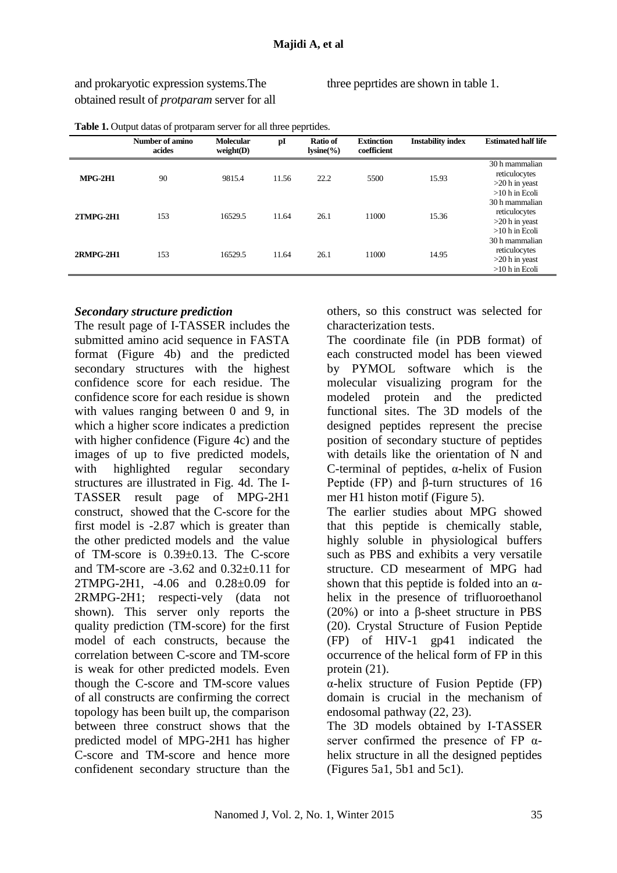and prokaryotic expression systems.The obtained result of *protparam* server for all three peprtides are shown in table 1.

|                  | Number of amino<br>acides | <b>Molecular</b><br>weight(D) | pI    | Ratio of<br>$lysine(\% )$ | <b>Extinction</b><br>coefficient | <b>Instability index</b> | <b>Estimated half life</b>                                              |
|------------------|---------------------------|-------------------------------|-------|---------------------------|----------------------------------|--------------------------|-------------------------------------------------------------------------|
| $MPG-2H1$        | 90                        | 9815.4                        | 11.56 | 22.2                      | 5500                             | 15.93                    | 30 h mammalian<br>reticulocytes<br>$>20$ h in yeast<br>$>10$ h in Ecoli |
| <b>2TMPG-2H1</b> | 153                       | 16529.5                       | 11.64 | 26.1                      | 11000                            | 15.36                    | 30 h mammalian<br>reticulocytes<br>$>20$ h in yeast<br>$>10$ h in Ecoli |
| 2RMPG-2H1        | 153                       | 16529.5                       | 11.64 | 26.1                      | 11000                            | 14.95                    | 30 h mammalian<br>reticulocytes<br>$>20$ h in yeast<br>$>10$ h in Ecoli |

**Table 1.** Output datas of protparam server for all three peprtides.

#### *Secondary structure prediction*

The result page of I-TASSER includes the submitted amino acid sequence in FASTA format (Figure 4b) and the predicted secondary structures with the highest confidence score for each residue. The confidence score for each residue is shown with values ranging between 0 and 9, in which a higher score indicates a prediction with higher confidence (Figure 4c) and the images of up to five predicted models, with highlighted regular secondary structures are illustrated in Fig. 4d. The I-TASSER result page of MPG-2H1 construct, showed that the C-score for the first model is -2.87 which is greater than the other predicted models and the value of TM-score is  $0.39 \pm 0.13$ . The C-score and TM-score are -3.62 and 0.32±0.11 for 2TMPG-2H1, -4.06 and 0.28±0.09 for 2RMPG-2H1; respecti-vely (data not shown). This server only reports the quality prediction (TM-score) for the first model of each constructs, because the correlation between C-score and TM-score is weak for other predicted models. Even though the C-score and TM-score values of all constructs are confirming the correct topology has been built up, the comparison between three construct shows that the predicted model of MPG-2H1 has higher C-score and TM-score and hence more confidenent secondary structure than the others, so this construct was selected for characterization tests.

The coordinate file (in PDB format) of each constructed model has been viewed by PYMOL software which is the molecular visualizing program for the modeled protein and the predicted functional sites. The 3D models of the designed peptides represent the precise position of secondary stucture of peptides with details like the orientation of N and C-terminal of peptides, α-helix of Fusion Peptide (FP) and β-turn structures of 16 mer H1 histon motif (Figure 5).

The earlier studies about MPG showed that this peptide is chemically stable, highly soluble in physiological buffers such as PBS and exhibits a very versatile structure. CD mesearment of MPG had shown that this peptide is folded into an  $\alpha$ helix in the presence of trifluoroethanol (20%) or into a β-sheet structure in PBS (20). Crystal Structure of Fusion Peptide (FP) of HIV-1 gp41 indicated the occurrence of the helical form of FP in this protein (21).

α-helix structure of Fusion Peptide (FP) domain is crucial in the mechanism of endosomal pathway (22, 23).

The 3D models obtained by I-TASSER server confirmed the presence of FP  $\alpha$ helix structure in all the designed peptides (Figures 5a1, 5b1 and 5c1).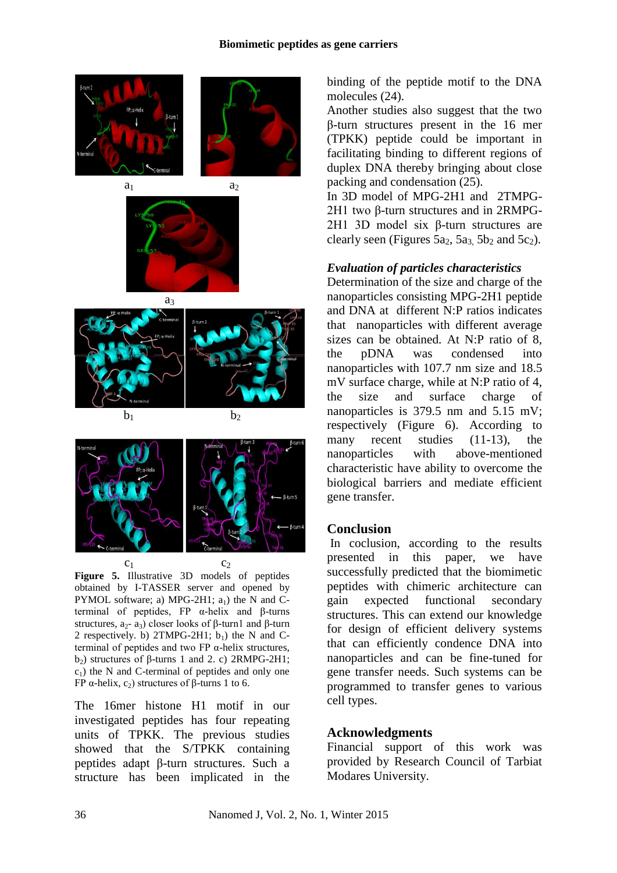









 $c_1$  c<sub>2</sub> **Figure 5.** Illustrative 3D models of peptides obtained by I-TASSER server and opened by PYMOL software; a) MPG-2H1;  $a<sub>1</sub>$ ) the N and Cterminal of peptides, FP α-helix and β-turns structures,  $a_2$ -  $a_3$ ) closer looks of β-turn1 and β-turn 2 respectively. b) 2TMPG-2H1;  $b_1$ ) the N and Cterminal of peptides and two FP  $\alpha$ -helix structures,  $b_2$ ) structures of β-turns 1 and 2. c) 2RMPG-2H1;  $c_1$ ) the N and C-terminal of peptides and only one FP α-helix,  $c_2$ ) structures of β-turns 1 to 6.

The 16mer histone H1 motif in our investigated peptides has four repeating units of TPKK. The previous studies showed that the S/TPKK containing peptides adapt β-turn structures. Such a structure has been implicated in the binding of the peptide motif to the DNA molecules (24).

Another studies also suggest that the two β-turn structures present in the 16 mer (TPKK) peptide could be important in facilitating binding to different regions of duplex DNA thereby bringing about close packing and condensation (25).

In 3D model of MPG-2H1 and 2TMPG-2H1 two β-turn structures and in 2RMPG-2H1 3D model six β-turn structures are clearly seen (Figures  $5a_2$ ,  $5a_3$ ,  $5b_2$  and  $5c_2$ ).

#### *Evaluation of particles characteristics*

Determination of the size and charge of the nanoparticles consisting MPG-2H1 peptide and DNA at different N:P ratios indicates that nanoparticles with different average sizes can be obtained. At N:P ratio of 8, the pDNA was condensed into nanoparticles with 107.7 nm size and 18.5 mV surface charge, while at N:P ratio of 4, the size and surface charge of nanoparticles is 379.5 nm and 5.15 mV; respectively (Figure 6). According to many recent studies (11-13), the nanoparticles with above-mentioned characteristic have ability to overcome the biological barriers and mediate efficient gene transfer.

#### **Conclusion**

In coclusion, according to the results presented in this paper, we have successfully predicted that the biomimetic peptides with chimeric architecture can gain expected functional secondary structures. This can extend our knowledge for design of efficient delivery systems that can efficiently condence DNA into nanoparticles and can be fine-tuned for gene transfer needs. Such systems can be programmed to transfer genes to various cell types.

#### **Acknowledgments**

Financial support of this work was provided by Research Council of Tarbiat Modares University.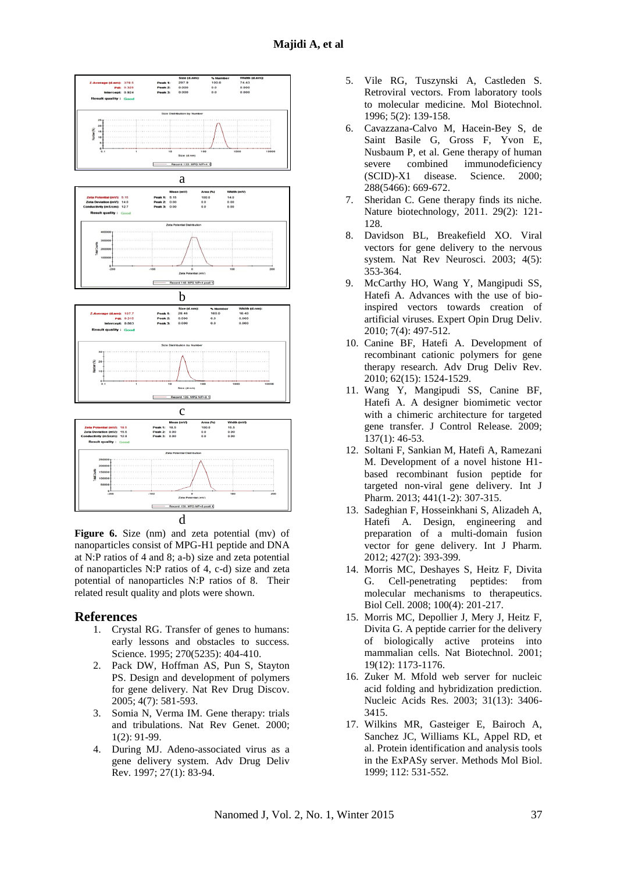

**Figure 6.** Size (nm) and zeta potential (mv) of nanoparticles consist of MPG-H1 peptide and DNA at N:P ratios of 4 and 8; a-b) size and zeta potential of nanoparticles N:P ratios of 4, c-d) size and zeta potential of nanoparticles N:P ratios of 8. Their related result quality and plots were shown.

#### **References**

- 1. Crystal RG. Transfer of genes to humans: early lessons and obstacles to success. Science. 1995; 270(5235): 404-410.
- 2. Pack DW, Hoffman AS, Pun S, Stayton PS. Design and development of polymers for gene delivery. Nat Rev Drug Discov. 2005; 4(7): 581-593.
- 3. Somia N, Verma IM. Gene therapy: trials and tribulations. Nat Rev Genet. 2000; 1(2): 91-99.
- 4. During MJ. Adeno-associated virus as a gene delivery system. Adv Drug Deliv Rev. 1997; 27(1): 83-94.
- 5. Vile RG, Tuszynski A, Castleden S. Retroviral vectors. From laboratory tools to molecular medicine. Mol Biotechnol. 1996; 5(2): 139-158.
- 6. Cavazzana-Calvo M, Hacein-Bey S, de Saint Basile G, Gross F, Yvon E, Nusbaum P, et al. Gene therapy of human severe combined immunodeficiency (SCID)-X1 disease. Science. 2000; 288(5466): 669-672.
- 7. Sheridan C. Gene therapy finds its niche. Nature biotechnology, 2011. 29(2): 121- 128.
- 8. Davidson BL, Breakefield XO. Viral vectors for gene delivery to the nervous system. Nat Rev Neurosci. 2003; 4(5): 353-364.
- 9. McCarthy HO, Wang Y, Mangipudi SS, Hatefi A. Advances with the use of bioinspired vectors towards creation of artificial viruses. Expert Opin Drug Deliv. 2010; 7(4): 497-512.
- 10. Canine BF, Hatefi A. Development of recombinant cationic polymers for gene therapy research. Adv Drug Deliv Rev. 2010; 62(15): 1524-1529.
- 11. Wang Y, Mangipudi SS, Canine BF, Hatefi A. A designer biomimetic vector with a chimeric architecture for targeted gene transfer. J Control Release. 2009;  $137(1)$ : 46-53.
- 12. Soltani F, Sankian M, Hatefi A, Ramezani M. Development of a novel histone H1 based recombinant fusion peptide for targeted non-viral gene delivery. Int J Pharm. 2013; 441(1-2): 307-315.
- 13. Sadeghian F, Hosseinkhani S, Alizadeh A, Hatefi A. Design, engineering and preparation of a multi-domain fusion vector for gene delivery. Int J Pharm. 2012; 427(2): 393-399.
- 14. Morris MC, Deshayes S, Heitz F, Divita G. Cell-penetrating peptides: from molecular mechanisms to therapeutics. Biol Cell. 2008; 100(4): 201-217.
- 15. Morris MC, Depollier J, Mery J, Heitz F, Divita G. A peptide carrier for the delivery of biologically active proteins into mammalian cells. Nat Biotechnol. 2001; 19(12): 1173-1176.
- 16. Zuker M. Mfold web server for nucleic acid folding and hybridization prediction. Nucleic Acids Res. 2003; 31(13): 3406- 3415.
- 17. Wilkins MR, Gasteiger E, Bairoch A, Sanchez JC, Williams KL, Appel RD, et al. Protein identification and analysis tools in the ExPASy server. Methods Mol Biol. 1999; 112: 531-552.